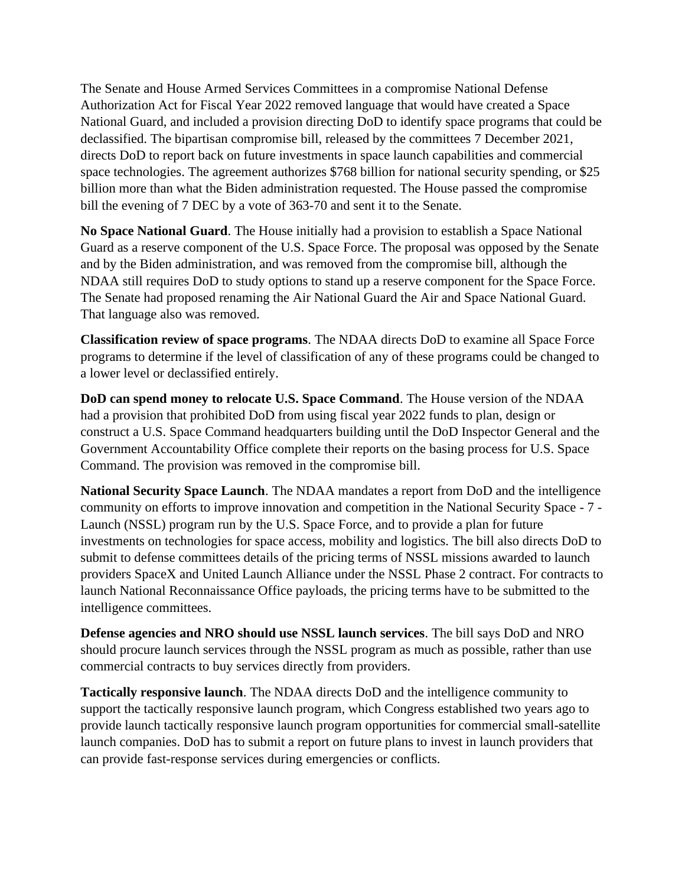The Senate and House Armed Services Committees in a compromise National Defense Authorization Act for Fiscal Year 2022 removed language that would have created a Space National Guard, and included a provision directing DoD to identify space programs that could be declassified. The bipartisan compromise bill, released by the committees 7 December 2021, directs DoD to report back on future investments in space launch capabilities and commercial space technologies. The agreement authorizes \$768 billion for national security spending, or \$25 billion more than what the Biden administration requested. The House passed the compromise bill the evening of 7 DEC by a vote of 363-70 and sent it to the Senate.

**No Space National Guard**. The House initially had a provision to establish a Space National Guard as a reserve component of the U.S. Space Force. The proposal was opposed by the Senate and by the Biden administration, and was removed from the compromise bill, although the NDAA still requires DoD to study options to stand up a reserve component for the Space Force. The Senate had proposed renaming the Air National Guard the Air and Space National Guard. That language also was removed.

**Classification review of space programs**. The NDAA directs DoD to examine all Space Force programs to determine if the level of classification of any of these programs could be changed to a lower level or declassified entirely.

**DoD can spend money to relocate U.S. Space Command**. The House version of the NDAA had a provision that prohibited DoD from using fiscal year 2022 funds to plan, design or construct a U.S. Space Command headquarters building until the DoD Inspector General and the Government Accountability Office complete their reports on the basing process for U.S. Space Command. The provision was removed in the compromise bill.

**National Security Space Launch**. The NDAA mandates a report from DoD and the intelligence community on efforts to improve innovation and competition in the National Security Space - 7 - Launch (NSSL) program run by the U.S. Space Force, and to provide a plan for future investments on technologies for space access, mobility and logistics. The bill also directs DoD to submit to defense committees details of the pricing terms of NSSL missions awarded to launch providers SpaceX and United Launch Alliance under the NSSL Phase 2 contract. For contracts to launch National Reconnaissance Office payloads, the pricing terms have to be submitted to the intelligence committees.

**Defense agencies and NRO should use NSSL launch services**. The bill says DoD and NRO should procure launch services through the NSSL program as much as possible, rather than use commercial contracts to buy services directly from providers.

**Tactically responsive launch**. The NDAA directs DoD and the intelligence community to support the tactically responsive launch program, which Congress established two years ago to provide launch tactically responsive launch program opportunities for commercial small-satellite launch companies. DoD has to submit a report on future plans to invest in launch providers that can provide fast-response services during emergencies or conflicts.